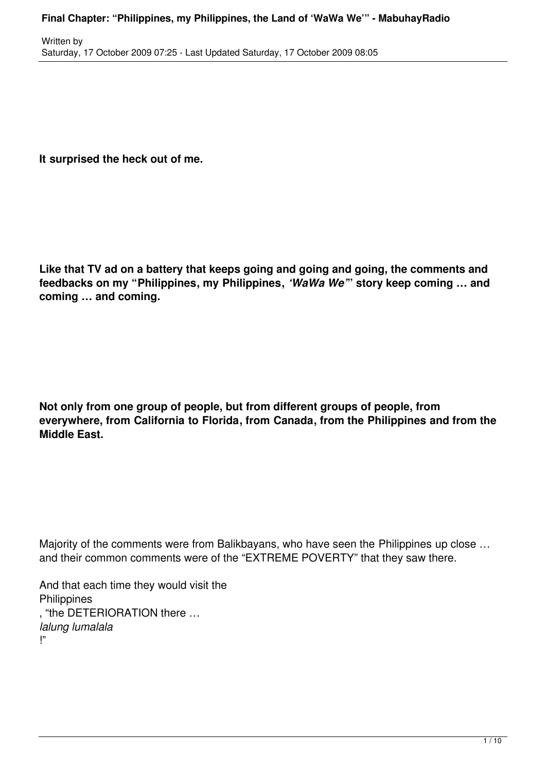**It surprised the heck out of me.**

**Like that TV ad on a battery that keeps going and going and going, the comments and feedbacks on my "Philippines, my Philippines,** *'WaWa We'***" story keep coming … and coming … and coming.**

**Not only from one group of people, but from different groups of people, from everywhere, from California to Florida, from Canada, from the Philippines and from the Middle East.**

Majority of the comments were from Balikbayans, who have seen the Philippines up close ... and their common comments were of the "EXTREME POVERTY" that they saw there.

And that each time they would visit the **Philippines** , "the DETERIORATION there … *lalung lumalala* !"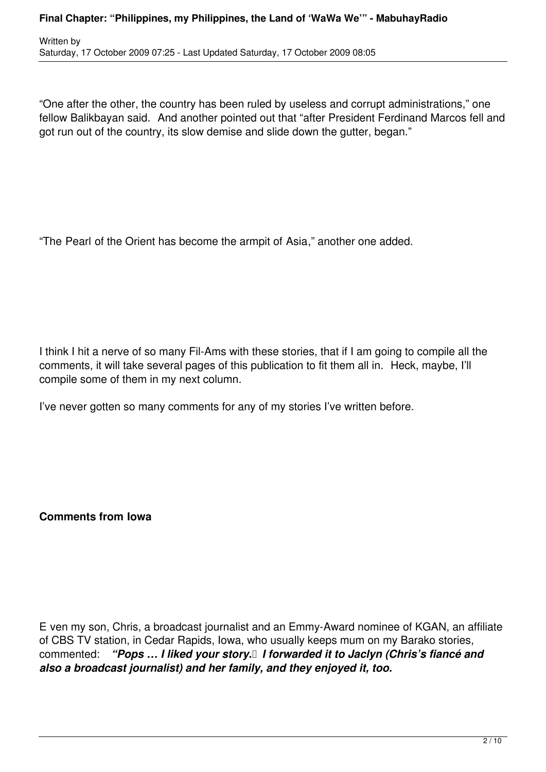"One after the other, the country has been ruled by useless and corrupt administrations," one fellow Balikbayan said. And another pointed out that "after President Ferdinand Marcos fell and got run out of the country, its slow demise and slide down the gutter, began."

"The Pearl of the Orient has become the armpit of Asia," another one added.

I think I hit a nerve of so many Fil-Ams with these stories, that if I am going to compile all the comments, it will take several pages of this publication to fit them all in. Heck, maybe, I'll compile some of them in my next column.

I've never gotten so many comments for any of my stories I've written before.

**Comments from Iowa**

E ven my son, Chris, a broadcast journalist and an Emmy-Award nominee of KGAN, an affiliate of CBS TV station, in Cedar Rapids, Iowa, who usually keeps mum on my Barako stories, commented: *"Pops … I liked your story. I forwarded it to Jaclyn (Chris's fiancé and also a broadcast journalist) and her family, and they enjoyed it, too.*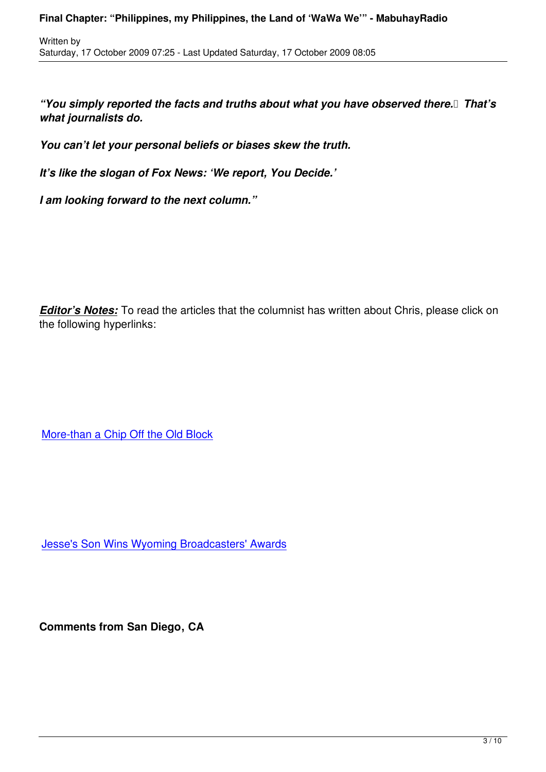*"You simply reported the facts and truths about what you have observed there. That's what journalists do.*

*You can't let your personal beliefs or biases skew the truth.*

*It's like the slogan of Fox News: 'We report, You Decide.'*

*I am looking forward to the next column."*

Written by

**Editor's Notes:** To read the articles that the columnist has written about Chris, please click on the following hyperlinks:

More-than a Chip Off the Old Block

Jesse's Son Wins Wyoming Broadcasters' Awards

**Comments from San Diego, CA**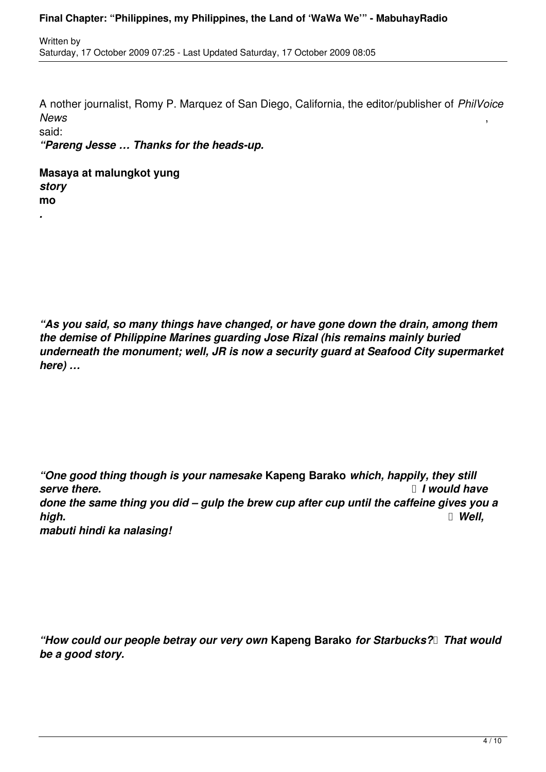## **Final Chapter: "Philippines, my Philippines, the Land of 'WaWa We'" - MabuhayRadio**

A nother journalist, Romy P. Marquez of San Diego, California, the editor/publisher of *PhilVoice News* ,

said:

*.*

*"Pareng Jesse … Thanks for the heads-up.*

**Masaya at malungkot yung**  *story* **mo**

*"As you said, so many things have changed, or have gone down the drain, among them the demise of Philippine Marines guarding Jose Rizal (his remains mainly buried underneath the monument; well, JR is now a security guard at Seafood City supermarket here) …*

*"One good thing though is your namesake* **Kapeng Barako** *which, happily, they still serve there.*  **I** *I* would have *done the same thing you did – gulp the brew cup after cup until the caffeine gives you a high. Well, mabuti hindi ka nalasing!*

*"How could our people betray our very own* **Kapeng Barako** *for Starbucks? That would be a good story.*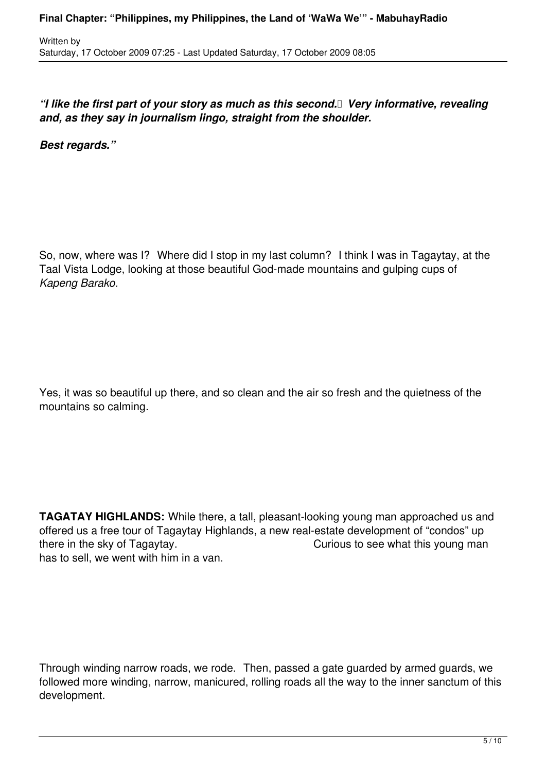## *"I like the first part of your story as much as this second. Very informative, revealing and, as they say in journalism lingo, straight from the shoulder.*

*Best regards."*

So, now, where was I? Where did I stop in my last column? I think I was in Tagaytay, at the Taal Vista Lodge, looking at those beautiful God-made mountains and gulping cups of *Kapeng Barako.*

Yes, it was so beautiful up there, and so clean and the air so fresh and the quietness of the mountains so calming.

**TAGATAY HIGHLANDS:** While there, a tall, pleasant-looking young man approached us and offered us a free tour of Tagaytay Highlands, a new real-estate development of "condos" up there in the sky of Tagaytay. There in the sky of Tagaytay. has to sell, we went with him in a van.

Through winding narrow roads, we rode. Then, passed a gate guarded by armed guards, we followed more winding, narrow, manicured, rolling roads all the way to the inner sanctum of this development.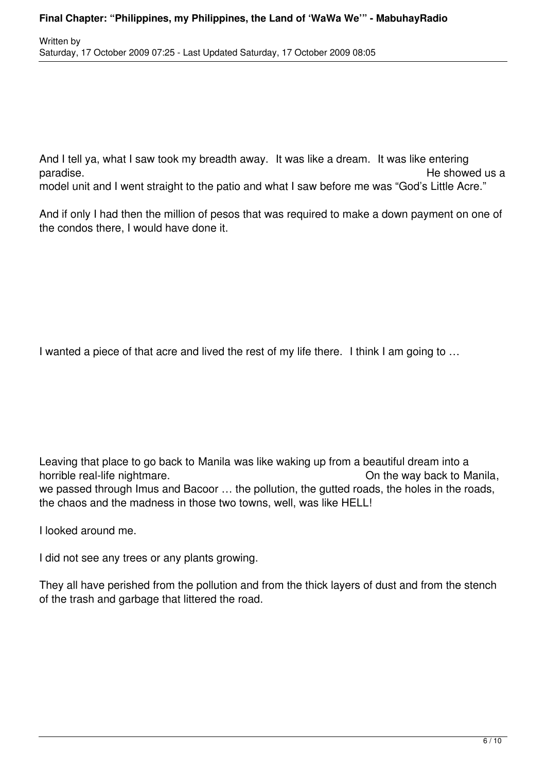And I tell ya, what I saw took my breadth away. It was like a dream. It was like entering paradise. The showed us a paradise of the showed us a set of the showed us a set of the showed us a set of the showed us a set of the showed use a set of the showed use a set of the showed use a set of the showed use a set model unit and I went straight to the patio and what I saw before me was "God's Little Acre."

And if only I had then the million of pesos that was required to make a down payment on one of the condos there, I would have done it.

I wanted a piece of that acre and lived the rest of my life there. I think I am going to ...

Leaving that place to go back to Manila was like waking up from a beautiful dream into a horrible real-life nightmare. The mass of the way back to Manila, we passed through Imus and Bacoor … the pollution, the gutted roads, the holes in the roads, the chaos and the madness in those two towns, well, was like HELL!

I looked around me.

I did not see any trees or any plants growing.

They all have perished from the pollution and from the thick layers of dust and from the stench of the trash and garbage that littered the road.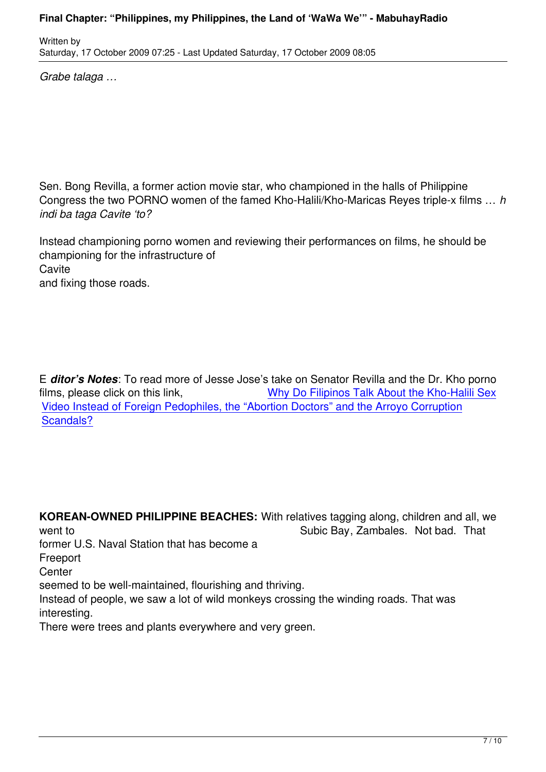*Grabe talaga …*

Written by

Sen. Bong Revilla, a former action movie star, who championed in the halls of Philippine Congress the two PORNO women of the famed Kho-Halili/Kho-Maricas Reyes triple-x films … *h indi ba taga Cavite 'to?*

Instead championing porno women and reviewing their performances on films, he should be championing for the infrastructure of **Cavite** and fixing those roads.

E *ditor's Notes*: To read more of Jesse Jose's take on Senator Revilla and the Dr. Kho porno films, please click on this link, Why Do Filipinos Talk About the Kho-Halili Sex Video Instead of Foreign Pedophiles, the "Abortion Doctors" and the Arroyo Corruption Scandals?

**KOREAN-OWNED PHILIPPINE BEACHES:** With relatives tagging along, children and all, we went to Subic Bay, Zambales. Not bad. That former U.S. Naval Station that has become a Freeport **Center** seemed to be well-maintained, flourishing and thriving. Instead of people, we saw a lot of wild monkeys crossing the winding roads. That was interesting.

There were trees and plants everywhere and very green.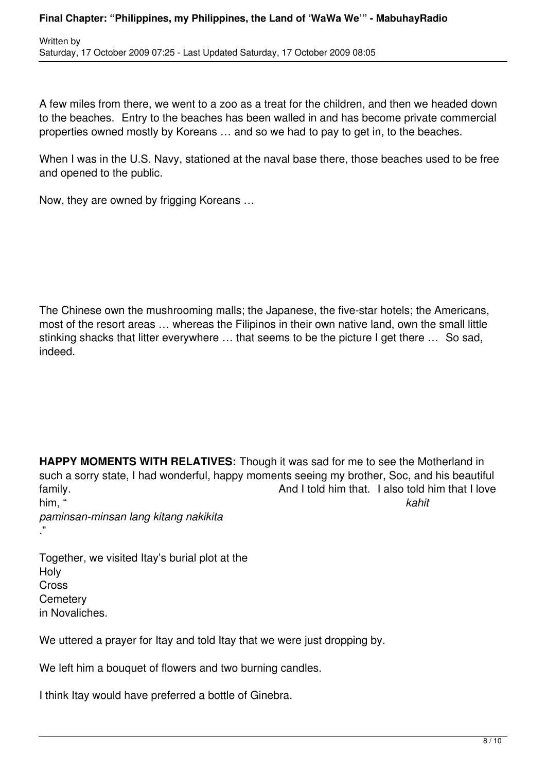A few miles from there, we went to a zoo as a treat for the children, and then we headed down to the beaches. Entry to the beaches has been walled in and has become private commercial properties owned mostly by Koreans … and so we had to pay to get in, to the beaches.

When I was in the U.S. Navy, stationed at the naval base there, those beaches used to be free and opened to the public.

Now, they are owned by frigging Koreans …

The Chinese own the mushrooming malls; the Japanese, the five-star hotels; the Americans, most of the resort areas … whereas the Filipinos in their own native land, own the small little stinking shacks that litter everywhere … that seems to be the picture I get there … So sad, indeed.

**HAPPY MOMENTS WITH RELATIVES:** Though it was sad for me to see the Motherland in such a sorry state, I had wonderful, happy moments seeing my brother, Soc, and his beautiful family. **EXECUTE:**  $\alpha$  and I told him that. I also told him that I love him, " *kahit paminsan-minsan lang kitang nakikita*

Together, we visited Itay's burial plot at the Holy Cross **Cemeterv** in Novaliches.

."

We uttered a prayer for Itay and told Itay that we were just dropping by.

We left him a bouquet of flowers and two burning candles.

I think Itay would have preferred a bottle of Ginebra.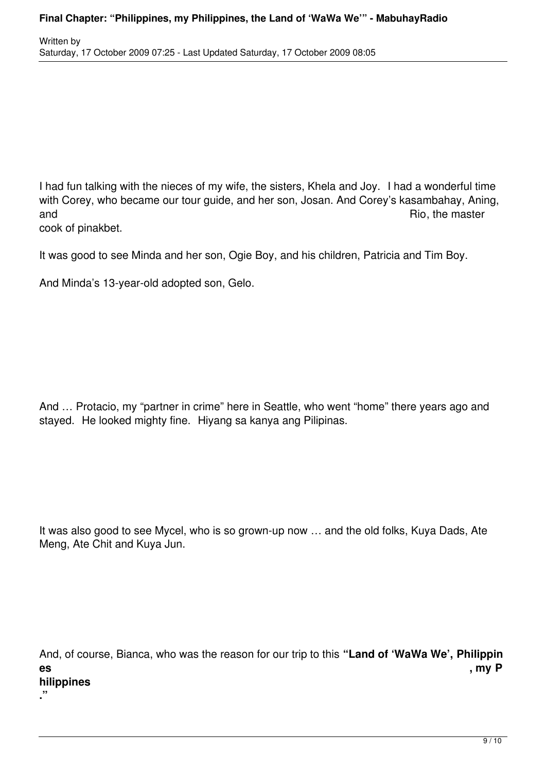I had fun talking with the nieces of my wife, the sisters, Khela and Joy. I had a wonderful time with Corey, who became our tour guide, and her son, Josan. And Corey's kasambahay, Aning, and and  $\overline{R}$  and  $\overline{R}$  and  $\overline{R}$  and  $\overline{R}$  and  $\overline{R}$  and  $\overline{R}$  and  $\overline{R}$  and  $\overline{R}$  and  $\overline{R}$  and  $\overline{R}$  and  $\overline{R}$  and  $\overline{R}$  and  $\overline{R}$  and  $\overline{R}$  and  $\overline{R}$  and  $\overline{R}$  and  $\overline{R$ 

cook of pinakbet.

**."**

It was good to see Minda and her son, Ogie Boy, and his children, Patricia and Tim Boy.

And Minda's 13-year-old adopted son, Gelo.

And … Protacio, my "partner in crime" here in Seattle, who went "home" there years ago and stayed. He looked mighty fine. Hiyang sa kanya ang Pilipinas.

It was also good to see Mycel, who is so grown-up now … and the old folks, Kuya Dads, Ate Meng, Ate Chit and Kuya Jun.

And, of course, Bianca, who was the reason for our trip to this **"Land of 'WaWa We', Philippin es , my P hilippines**